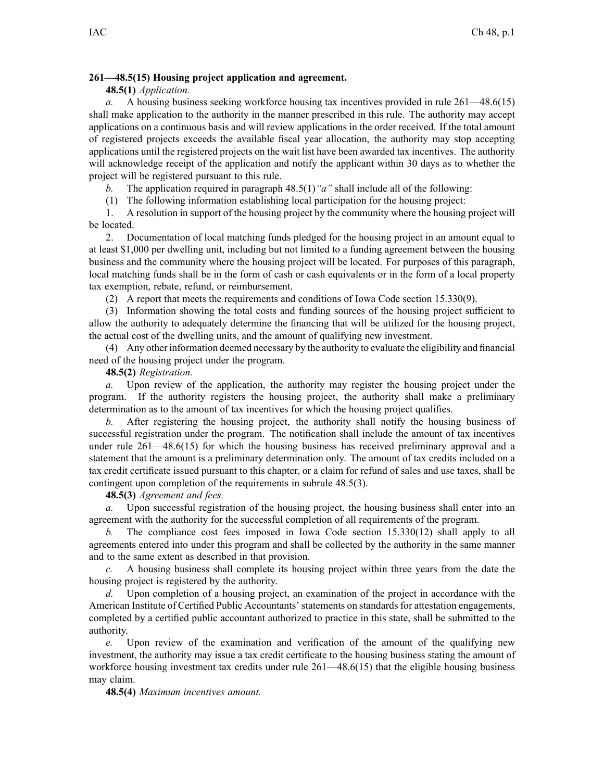## **261—48.5(15) Housing project application and agreement.**

## **48.5(1)** *Application.*

*a.* A housing business seeking workforce housing tax incentives provided in rule [261—48.6](https://www.legis.iowa.gov/docs/iac/rule/261.48.6.pdf)(15) shall make application to the authority in the manner prescribed in this rule. The authority may accep<sup>t</sup> applications on <sup>a</sup> continuous basis and will review applications in the order received. If the total amount of registered projects exceeds the available fiscal year allocation, the authority may stop accepting applications until the registered projects on the wait list have been awarded tax incentives. The authority will acknowledge receipt of the application and notify the applicant within 30 days as to whether the project will be registered pursuan<sup>t</sup> to this rule.

*b.* The application required in paragraph [48.5\(1\)](https://www.legis.iowa.gov/docs/iac/rule/261.48.5.pdf)*"a"* shall include all of the following:

(1) The following information establishing local participation for the housing project:

1. A resolution in suppor<sup>t</sup> of the housing project by the community where the housing project will be located.

2. Documentation of local matching funds pledged for the housing project in an amount equal to at least \$1,000 per dwelling unit, including but not limited to <sup>a</sup> funding agreemen<sup>t</sup> between the housing business and the community where the housing project will be located. For purposes of this paragraph, local matching funds shall be in the form of cash or cash equivalents or in the form of <sup>a</sup> local property tax exemption, rebate, refund, or reimbursement.

(2) A repor<sup>t</sup> that meets the requirements and conditions of Iowa Code section [15.330\(9\)](https://www.legis.iowa.gov/docs/ico/section/15.330.pdf).

(3) Information showing the total costs and funding sources of the housing project sufficient to allow the authority to adequately determine the financing that will be utilized for the housing project, the actual cost of the dwelling units, and the amount of qualifying new investment.

(4) Any other information deemed necessary by the authority to evaluate the eligibility and financial need of the housing project under the program.

## **48.5(2)** *Registration.*

*a.* Upon review of the application, the authority may register the housing project under the program. If the authority registers the housing project, the authority shall make <sup>a</sup> preliminary determination as to the amount of tax incentives for which the housing project qualifies.

*b.* After registering the housing project, the authority shall notify the housing business of successful registration under the program. The notification shall include the amount of tax incentives under rule [261—48.6](https://www.legis.iowa.gov/docs/iac/rule/261.48.6.pdf)(15) for which the housing business has received preliminary approval and <sup>a</sup> statement that the amount is <sup>a</sup> preliminary determination only. The amount of tax credits included on <sup>a</sup> tax credit certificate issued pursuan<sup>t</sup> to this chapter, or <sup>a</sup> claim for refund of sales and use taxes, shall be contingent upon completion of the requirements in subrule [48.5\(3\)](https://www.legis.iowa.gov/docs/iac/rule/261.48.5.pdf).

# **48.5(3)** *Agreement and fees.*

*a.* Upon successful registration of the housing project, the housing business shall enter into an agreemen<sup>t</sup> with the authority for the successful completion of all requirements of the program.

*b.* The compliance cost fees imposed in Iowa Code section [15.330\(12\)](https://www.legis.iowa.gov/docs/ico/section/15.330.pdf) shall apply to all agreements entered into under this program and shall be collected by the authority in the same manner and to the same extent as described in that provision.

*c.* A housing business shall complete its housing project within three years from the date the housing project is registered by the authority.

*d.* Upon completion of <sup>a</sup> housing project, an examination of the project in accordance with the American Institute of Certified Public Accountants' statements on standards for attestation engagements, completed by <sup>a</sup> certified public accountant authorized to practice in this state, shall be submitted to the authority.

Upon review of the examination and verification of the amount of the qualifying new investment, the authority may issue <sup>a</sup> tax credit certificate to the housing business stating the amount of workforce housing investment tax credits under rule  $261-48.6(15)$  that the eligible housing business may claim.

## **48.5(4)** *Maximum incentives amount.*